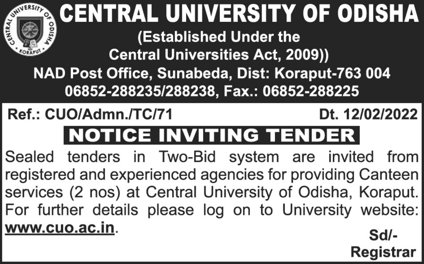| <b>CENTRAL UNIVERSITY OF ODISHA</b><br>g<br>(Established Under the<br><b>Central Universities Act, 2009))</b><br>NAD Post Office, Sunabeda, Dist: Koraput-763 004<br>06852-288235/288238, Fax.: 06852-288225                             |                   |
|------------------------------------------------------------------------------------------------------------------------------------------------------------------------------------------------------------------------------------------|-------------------|
| Ref.: CUO/Admn./TC/71                                                                                                                                                                                                                    | Dt. 12/02/2022    |
| <b>NOTICE INVITING TENDER</b>                                                                                                                                                                                                            |                   |
| Sealed tenders in Two-Bid system are invited from<br>registered and experienced agencies for providing Canteen<br>services (2 nos) at Central University of Odisha, Koraput.<br>For further details please log on to University website: |                   |
| www.cuo.ac.in.                                                                                                                                                                                                                           | Sd/-<br>Registrar |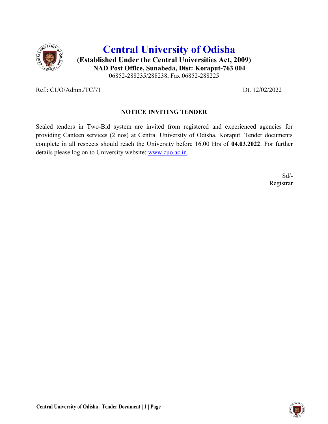

# Central University of Odisha (Established Under the Central Universities Act, 2009) NAD Post Office, Sunabeda, Dist: Koraput-763 004 06852-288235/288238, Fax.06852-288225

Ref.: CUO/Admn./TC/71 Dt. 12/02/2022

### NOTICE INVITING TENDER

Sealed tenders in Two-Bid system are invited from registered and experienced agencies for providing Canteen services (2 nos) at Central University of Odisha, Koraput. Tender documents complete in all respects should reach the University before 16.00 Hrs of 04.03.2022. For further details please log on to University website: www.cuo.ac.in.

 Sd/- Registrar

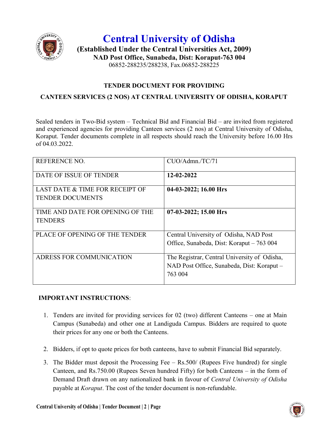

## Central University of Odisha (Established Under the Central Universities Act, 2009) NAD Post Office, Sunabeda, Dist: Koraput-763 004 06852-288235/288238, Fax.06852-288225

### TENDER DOCUMENT FOR PROVIDING

### CANTEEN SERVICES (2 NOS) AT CENTRAL UNIVERSITY OF ODISHA, KORAPUT

Sealed tenders in Two-Bid system – Technical Bid and Financial Bid – are invited from registered and experienced agencies for providing Canteen services (2 nos) at Central University of Odisha, Koraput. Tender documents complete in all respects should reach the University before 16.00 Hrs of 04.03.2022.

| <b>REFERENCE NO.</b>                                       | CUO/Admn./TC/71                                                                                       |
|------------------------------------------------------------|-------------------------------------------------------------------------------------------------------|
| DATE OF ISSUE OF TENDER                                    | 12-02-2022                                                                                            |
| LAST DATE & TIME FOR RECEIPT OF<br><b>TENDER DOCUMENTS</b> | 04-03-2022; 16.00 Hrs                                                                                 |
| TIME AND DATE FOR OPENING OF THE<br><b>TENDERS</b>         | $07-03-2022$ ; 15.00 Hrs                                                                              |
| PLACE OF OPENING OF THE TENDER                             | Central University of Odisha, NAD Post<br>Office, Sunabeda, Dist: Koraput – 763 004                   |
| ADRESS FOR COMMUNICATION                                   | The Registrar, Central University of Odisha,<br>NAD Post Office, Sunabeda, Dist: Koraput -<br>763 004 |

#### IMPORTANT INSTRUCTIONS:

- 1. Tenders are invited for providing services for 02 (two) different Canteens one at Main Campus (Sunabeda) and other one at Landiguda Campus. Bidders are required to quote their prices for any one or both the Canteens.
- 2. Bidders, if opt to quote prices for both canteens, have to submit Financial Bid separately.
- 3. The Bidder must deposit the Processing Fee Rs.500/ (Rupees Five hundred) for single Canteen, and Rs.750.00 (Rupees Seven hundred Fifty) for both Canteens – in the form of Demand Draft drawn on any nationalized bank in favour of Central University of Odisha payable at Koraput. The cost of the tender document is non-refundable.

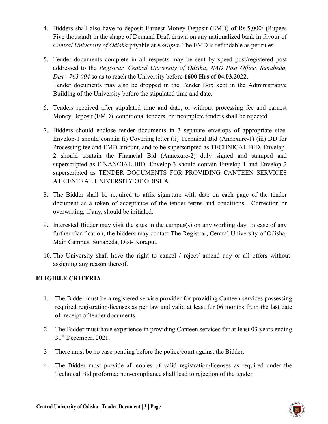- 4. Bidders shall also have to deposit Earnest Money Deposit (EMD) of Rs.5,000/ (Rupees Five thousand) in the shape of Demand Draft drawn on any nationalized bank in favour of Central University of Odisha payable at Koraput. The EMD is refundable as per rules.
- 5. Tender documents complete in all respects may be sent by speed post/registered post addressed to the Registrar, Central University of Odisha, NAD Post Office, Sunabeda, Dist - 763 004 so as to reach the University before 1600 Hrs of 04.03.2022. Tender documents may also be dropped in the Tender Box kept in the Administrative Building of the University before the stipulated time and date.
- 6. Tenders received after stipulated time and date, or without processing fee and earnest Money Deposit (EMD), conditional tenders, or incomplete tenders shall be rejected.
- 7. Bidders should enclose tender documents in 3 separate envelops of appropriate size. Envelop-1 should contain (i) Covering letter (ii) Technical Bid (Annexure-1) (iii) DD for Processing fee and EMD amount, and to be superscripted as TECHNICAL BID. Envelop-2 should contain the Financial Bid (Annexure-2) duly signed and stamped and superscripted as FINANCIAL BID. Envelop-3 should contain Envelop-1 and Envelop-2 superscripted as TENDER DOCUMENTS FOR PROVIDING CANTEEN SERVICES AT CENTRAL UNIVERSITY OF ODISHA.
- 8. The Bidder shall be required to affix signature with date on each page of the tender document as a token of acceptance of the tender terms and conditions. Correction or overwriting, if any, should be initialed.
- 9. Interested Bidder may visit the sites in the campus(s) on any working day. In case of any further clarification, the bidders may contact The Registrar, Central University of Odisha, Main Campus, Sunabeda, Dist- Koraput.
- 10. The University shall have the right to cancel / reject/ amend any or all offers without assigning any reason thereof.

### ELIGIBLE CRITERIA:

- 1. The Bidder must be a registered service provider for providing Canteen services possessing required registration/licenses as per law and valid at least for 06 months from the last date of receipt of tender documents.
- 2. The Bidder must have experience in providing Canteen services for at least 03 years ending  $31<sup>st</sup>$  December, 2021.
- 3. There must be no case pending before the police/court against the Bidder.
- 4. The Bidder must provide all copies of valid registration/licenses as required under the Technical Bid proforma; non-compliance shall lead to rejection of the tender.

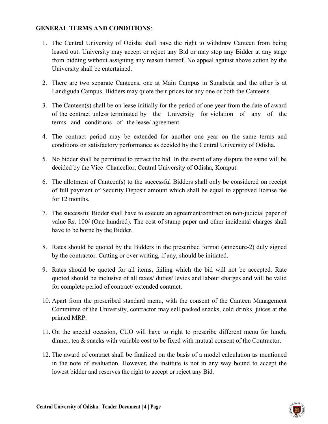#### GENERAL TERMS AND CONDITIONS:

- 1. The Central University of Odisha shall have the right to withdraw Canteen from being leased out. University may accept or reject any Bid or may stop any Bidder at any stage from bidding without assigning any reason thereof. No appeal against above action by the University shall be entertained.
- 2. There are two separate Canteens, one at Main Campus in Sunabeda and the other is at Landiguda Campus. Bidders may quote their prices for any one or both the Canteens.
- 3. The Canteen(s) shall be on lease initially for the period of one year from the date of award of the contract unless terminated by the University for violation of any of the terms and conditions of the lease/ agreement.
- 4. The contract period may be extended for another one year on the same terms and conditions on satisfactory performance as decided by the Central University of Odisha.
- 5. No bidder shall be permitted to retract the bid. In the event of any dispute the same will be decided by the Vice–Chancellor, Central University of Odisha, Koraput.
- 6. The allotment of Canteen(s) to the successful Bidders shall only be considered on receipt of full payment of Security Deposit amount which shall be equal to approved license fee for 12 months.
- 7. The successful Bidder shall have to execute an agreement/contract on non-judicial paper of value Rs. 100/ (One hundred). The cost of stamp paper and other incidental charges shall have to be borne by the Bidder.
- 8. Rates should be quoted by the Bidders in the prescribed format (annexure-2) duly signed by the contractor. Cutting or over writing, if any, should be initiated.
- 9. Rates should be quoted for all items, failing which the bid will not be accepted. Rate quoted should be inclusive of all taxes/ duties/ levies and labour charges and will be valid for complete period of contract/ extended contract.
- 10. Apart from the prescribed standard menu, with the consent of the Canteen Management Committee of the University, contractor may sell packed snacks, cold drinks, juices at the printed MRP.
- 11. On the special occasion, CUO will have to right to prescribe different menu for lunch, dinner, tea & snacks with variable cost to be fixed with mutual consent of the Contractor.
- 12. The award of contract shall be finalized on the basis of a model calculation as mentioned in the note of evaluation. However, the institute is not in any way bound to accept the lowest bidder and reserves the right to accept or reject any Bid.

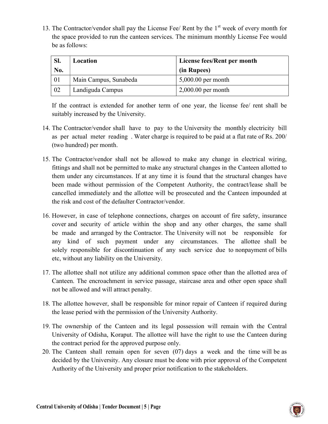13. The Contractor/vendor shall pay the License Fee/ Rent by the  $1<sup>st</sup>$  week of every month for the space provided to run the canteen services. The minimum monthly License Fee would be as follows:

| SI. | Location              | License fees/Rent per month |  |
|-----|-----------------------|-----------------------------|--|
| No. |                       | (in Rupees)                 |  |
| 01  | Main Campus, Sunabeda | $5,000.00$ per month        |  |
| 02  | Landiguda Campus      | $2,000.00$ per month        |  |

If the contract is extended for another term of one year, the license fee/ rent shall be suitably increased by the University.

- 14. The Contractor/vendor shall have to pay to the University the monthly electricity bill as per actual meter reading . Water charge is required to be paid at a flat rate of Rs. 200/ (two hundred) per month.
- 15. The Contractor/vendor shall not be allowed to make any change in electrical wiring, fittings and shall not be permitted to make any structural changes in the Canteen allotted to them under any circumstances. If at any time it is found that the structural changes have been made without permission of the Competent Authority, the contract/lease shall be cancelled immediately and the allottee will be prosecuted and the Canteen impounded at the risk and cost of the defaulter Contractor/vendor.
- 16. However, in case of telephone connections, charges on account of fire safety, insurance cover and security of article within the shop and any other charges, the same shall be made and arranged by the Contractor. The University will not be responsible for any kind of such payment under any circumstances. The allottee shall be solely responsible for discontinuation of any such service due to nonpayment of bills etc, without any liability on the University.
- 17. The allottee shall not utilize any additional common space other than the allotted area of Canteen. The encroachment in service passage, staircase area and other open space shall not be allowed and will attract penalty.
- 18. The allottee however, shall be responsible for minor repair of Canteen if required during the lease period with the permission of the University Authority.
- 19. The ownership of the Canteen and its legal possession will remain with the Central University of Odisha, Koraput. The allottee will have the right to use the Canteen during the contract period for the approved purpose only.
- 20. The Canteen shall remain open for seven (07) days a week and the time will be as decided by the University. Any closure must be done with prior approval of the Competent Authority of the University and proper prior notification to the stakeholders.

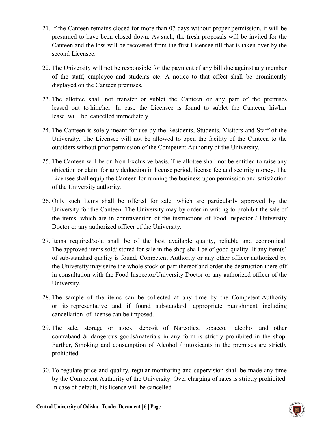- 21. If the Canteen remains closed for more than 07 days without proper permission, it will be presumed to have been closed down. As such, the fresh proposals will be invited for the Canteen and the loss will be recovered from the first Licensee till that is taken over by the second Licensee.
- 22. The University will not be responsible for the payment of any bill due against any member of the staff, employee and students etc. A notice to that effect shall be prominently displayed on the Canteen premises.
- 23. The allottee shall not transfer or sublet the Canteen or any part of the premises leased out to him/her. In case the Licensee is found to sublet the Canteen, his/her lease will be cancelled immediately.
- 24. The Canteen is solely meant for use by the Residents, Students, Visitors and Staff of the University. The Licensee will not be allowed to open the facility of the Canteen to the outsiders without prior permission of the Competent Authority of the University.
- 25. The Canteen will be on Non-Exclusive basis. The allottee shall not be entitled to raise any objection or claim for any deduction in license period, license fee and security money. The Licensee shall equip the Canteen for running the business upon permission and satisfaction of the University authority.
- 26. Only such Items shall be offered for sale, which are particularly approved by the University for the Canteen. The University may by order in writing to prohibit the sale of the items, which are in contravention of the instructions of Food Inspector / University Doctor or any authorized officer of the University.
- 27. Items required/sold shall be of the best available quality, reliable and economical. The approved items sold/ stored for sale in the shop shall be of good quality. If any item(s) of sub-standard quality is found, Competent Authority or any other officer authorized by the University may seize the whole stock or part thereof and order the destruction there off in consultation with the Food Inspector/University Doctor or any authorized officer of the University.
- 28. The sample of the items can be collected at any time by the Competent Authority or its representative and if found substandard, appropriate punishment including cancellation of license can be imposed.
- 29. The sale, storage or stock, deposit of Narcotics, tobacco, alcohol and other contraband & dangerous goods/materials in any form is strictly prohibited in the shop. Further, Smoking and consumption of Alcohol / intoxicants in the premises are strictly prohibited.
- 30. To regulate price and quality, regular monitoring and supervision shall be made any time by the Competent Authority of the University. Over charging of rates is strictly prohibited. In case of default, his license will be cancelled.

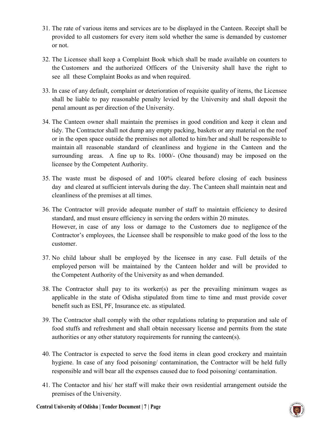- 31. The rate of various items and services are to be displayed in the Canteen. Receipt shall be provided to all customers for every item sold whether the same is demanded by customer or not.
- 32. The Licensee shall keep a Complaint Book which shall be made available on counters to the Customers and the authorized Officers of the University shall have the right to see all these Complaint Books as and when required.
- 33. In case of any default, complaint or deterioration of requisite quality of items, the Licensee shall be liable to pay reasonable penalty levied by the University and shall deposit the penal amount as per direction of the University.
- 34. The Canteen owner shall maintain the premises in good condition and keep it clean and tidy. The Contractor shall not dump any empty packing, baskets or any material on the roof or in the open space outside the premises not allotted to him/her and shall be responsible to maintain all reasonable standard of cleanliness and hygiene in the Canteen and the surrounding areas. A fine up to Rs. 1000/- (One thousand) may be imposed on the licensee by the Competent Authority.
- 35. The waste must be disposed of and 100% cleared before closing of each business day and cleared at sufficient intervals during the day. The Canteen shall maintain neat and cleanliness of the premises at all times.
- 36. The Contractor will provide adequate number of staff to maintain efficiency to desired standard, and must ensure efficiency in serving the orders within 20 minutes. However, in case of any loss or damage to the Customers due to negligence of the Contractor's employees, the Licensee shall be responsible to make good of the loss to the customer.
- 37. No child labour shall be employed by the licensee in any case. Full details of the employed person will be maintained by the Canteen holder and will be provided to the Competent Authority of the University as and when demanded.
- 38. The Contractor shall pay to its worker(s) as per the prevailing minimum wages as applicable in the state of Odisha stipulated from time to time and must provide cover benefit such as ESI, PF, Insurance etc. as stipulated.
- 39. The Contractor shall comply with the other regulations relating to preparation and sale of food stuffs and refreshment and shall obtain necessary license and permits from the state authorities or any other statutory requirements for running the canteen(s).
- 40. The Contractor is expected to serve the food items in clean good crockery and maintain hygiene. In case of any food poisoning/ contamination, the Contractor will be held fully responsible and will bear all the expenses caused due to food poisoning/ contamination.
- 41. The Contactor and his/ her staff will make their own residential arrangement outside the premises of the University.

Central University of Odisha | Tender Document | 7 | Page

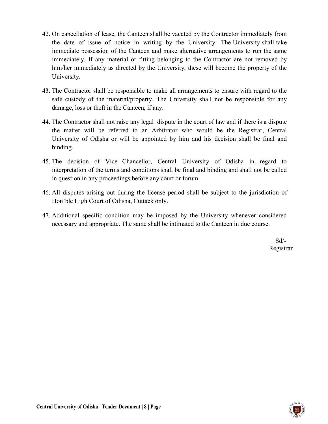- 42. On cancellation of lease, the Canteen shall be vacated by the Contractor immediately from the date of issue of notice in writing by the University. The University shall take immediate possession of the Canteen and make alternative arrangements to run the same immediately. If any material or fitting belonging to the Contractor are not removed by him/her immediately as directed by the University, these will become the property of the University.
- 43. The Contractor shall be responsible to make all arrangements to ensure with regard to the safe custody of the material/property. The University shall not be responsible for any damage, loss or theft in the Canteen, if any.
- 44. The Contractor shall not raise any legal dispute in the court of law and if there is a dispute the matter will be referred to an Arbitrator who would be the Registrar, Central University of Odisha or will be appointed by him and his decision shall be final and binding.
- 45. The decision of Vice- Chancellor, Central University of Odisha in regard to interpretation of the terms and conditions shall be final and binding and shall not be called in question in any proceedings before any court or forum.
- 46. All disputes arising out during the license period shall be subject to the jurisdiction of Hon'ble High Court of Odisha, Cuttack only.
- 47. Additional specific condition may be imposed by the University whenever considered necessary and appropriate. The same shall be intimated to the Canteen in due course.

 Sd/- Registrar

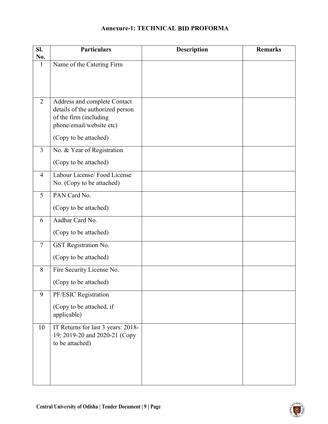## Annexure-1: TECHNICAL BID PROFORMA

| SI.                 | <b>Particulars</b>                                               | <b>Description</b> | <b>Remarks</b> |
|---------------------|------------------------------------------------------------------|--------------------|----------------|
| No.<br>$\mathbf{1}$ | Name of the Catering Firm                                        |                    |                |
|                     |                                                                  |                    |                |
|                     |                                                                  |                    |                |
|                     |                                                                  |                    |                |
| $\overline{2}$      | Address and complete Contact<br>details of the authorized person |                    |                |
|                     | of the firm (including                                           |                    |                |
|                     | phone/email/website etc)                                         |                    |                |
|                     | (Copy to be attached)                                            |                    |                |
| $\overline{3}$      | No. & Year of Registration                                       |                    |                |
|                     | (Copy to be attached)                                            |                    |                |
| $\overline{4}$      | Labour License/Food License                                      |                    |                |
|                     | No. (Copy to be attached)                                        |                    |                |
| 5                   | PAN Card No.                                                     |                    |                |
|                     | (Copy to be attached)                                            |                    |                |
| 6                   | Aadhar Card No.                                                  |                    |                |
|                     | (Copy to be attached)                                            |                    |                |
| $7\phantom{.0}$     | GST Registration No.                                             |                    |                |
|                     | (Copy to be attached)                                            |                    |                |
| 8                   | Fire Security License No.                                        |                    |                |
|                     | (Copy to be attached)                                            |                    |                |
| 9                   | PF/ESIC Registration                                             |                    |                |
|                     | (Copy to be attached, if                                         |                    |                |
|                     | applicable)                                                      |                    |                |
| 10                  | IT Returns for last 3 years: 2018-                               |                    |                |
|                     | 19; 2019-20 and 2020-21 (Copy<br>to be attached)                 |                    |                |
|                     |                                                                  |                    |                |
|                     |                                                                  |                    |                |
|                     |                                                                  |                    |                |
|                     |                                                                  |                    |                |

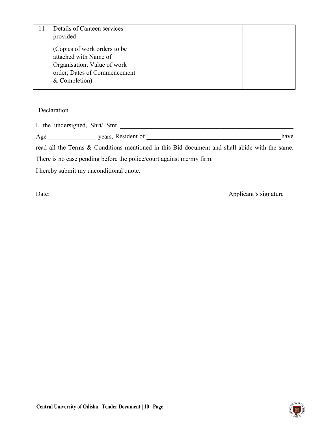| Details of Canteen services<br>provided                                                                                               |  |
|---------------------------------------------------------------------------------------------------------------------------------------|--|
| (Copies of work orders to be<br>attached with Name of<br>Organisation; Value of work<br>order; Dates of Commencement<br>& Completion) |  |

#### **Declaration**

I, the undersigned, Shri/ Smt \_\_\_\_\_\_\_\_\_\_\_\_\_\_\_\_\_\_\_\_\_\_\_\_\_\_\_\_\_\_\_\_\_\_\_\_\_\_\_\_\_\_\_\_\_\_\_\_\_\_\_\_\_\_

| $\mathbf{r}$<br>$\sim$<br>. v<br>∸<br>$\overline{\phantom{a}}$ | 170000<br>$\sim$ $\sim$<br>-<br>$\sim$<br>ALAIULIIL<br>Сал<br>. |  | 11c<br>---- - - |
|----------------------------------------------------------------|-----------------------------------------------------------------|--|-----------------|
|----------------------------------------------------------------|-----------------------------------------------------------------|--|-----------------|

read all the Terms & Conditions mentioned in this Bid document and shall abide with the same. There is no case pending before the police/court against me/my firm.

I hereby submit my unconditional quote.

Date: Applicant's signature

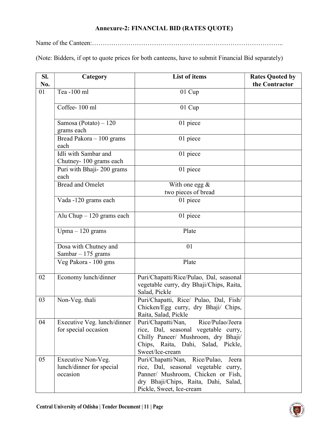## Annexure-2: FINANCIAL BID (RATES QUOTE)

Name of the Canteen:……………………………………………….……………………………..

(Note: Bidders, if opt to quote prices for both canteens, have to submit Financial Bid separately)

| SI.<br>No. | Category                                                   | <b>List of items</b>                                                                                                                                                                         | <b>Rates Quoted by</b><br>the Contractor |
|------------|------------------------------------------------------------|----------------------------------------------------------------------------------------------------------------------------------------------------------------------------------------------|------------------------------------------|
| 01         | Tea -100 ml                                                | $01$ Cup                                                                                                                                                                                     |                                          |
|            | Coffee-100 ml                                              | 01 Cup                                                                                                                                                                                       |                                          |
|            | Samosa (Potato) – $120$<br>grams each                      | 01 piece                                                                                                                                                                                     |                                          |
|            | Bread Pakora $-100$ grams<br>each                          | 01 piece                                                                                                                                                                                     |                                          |
|            | Idli with Sambar and<br>Chutney-100 grams each             | 01 piece                                                                                                                                                                                     |                                          |
|            | Puri with Bhaji- 200 grams<br>each                         | 01 piece                                                                                                                                                                                     |                                          |
|            | <b>Bread and Omelet</b>                                    | With one egg $&$<br>two pieces of bread                                                                                                                                                      |                                          |
|            | Vada -120 grams each                                       | 01 piece                                                                                                                                                                                     |                                          |
|            | Alu Chup $-120$ grams each                                 | 01 piece                                                                                                                                                                                     |                                          |
|            | Upma $-120$ grams                                          | Plate                                                                                                                                                                                        |                                          |
|            | Dosa with Chutney and<br>Sambar $-175$ grams               | 01                                                                                                                                                                                           |                                          |
|            | Veg Pakora - 100 gms                                       | Plate                                                                                                                                                                                        |                                          |
| 02         | Economy lunch/dinner                                       | Puri/Chapatti/Rice/Pulao, Dal, seasonal<br>vegetable curry, dry Bhaji/Chips, Raita,<br>Salad, Pickle                                                                                         |                                          |
| 03         | Non-Veg. thali                                             | Puri/Chapatti, Rice/ Pulao, Dal, Fish/<br>Chicken/Egg curry, dry Bhaji/ Chips,<br>Raita, Salad, Pickle                                                                                       |                                          |
| 04         | Executive Veg. lunch/dinner<br>for special occasion        | Rice/Pulao/Jeera<br>Puri/Chapatti/Nan,<br>rice, Dal, seasonal vegetable curry,<br>Chilly Paneer/ Mushroom, dry Bhaji/<br>Chips, Raita, Dahi, Salad, Pickle,<br>Sweet/Ice-cream               |                                          |
| 05         | Executive Non-Veg.<br>lunch/dinner for special<br>occasion | Rice/Pulao,<br>Puri/Chapatti/Nan,<br>Jeera<br>rice, Dal, seasonal vegetable curry,<br>Panner/ Mushroom, Chicken or Fish,<br>dry Bhaji/Chips, Raita, Dahi, Salad,<br>Pickle, Sweet, Ice-cream |                                          |